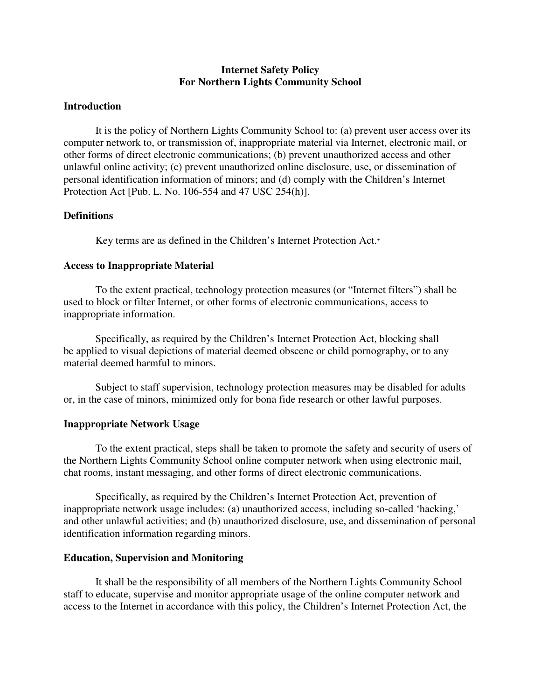## **Internet Safety Policy For Northern Lights Community School**

## **Introduction**

It is the policy of Northern Lights Community School to: (a) prevent user access over its computer network to, or transmission of, inappropriate material via Internet, electronic mail, or other forms of direct electronic communications; (b) prevent unauthorized access and other unlawful online activity; (c) prevent unauthorized online disclosure, use, or dissemination of personal identification information of minors; and (d) comply with the Children's Internet Protection Act [Pub. L. No. 106-554 and 47 USC 254(h)].

## **Definitions**

Key terms are as defined in the Children's Internet Protection Act.\*

## **Access to Inappropriate Material**

To the extent practical, technology protection measures (or "Internet filters") shall be used to block or filter Internet, or other forms of electronic communications, access to inappropriate information.

Specifically, as required by the Children's Internet Protection Act, blocking shall be applied to visual depictions of material deemed obscene or child pornography, or to any material deemed harmful to minors.

Subject to staff supervision, technology protection measures may be disabled for adults or, in the case of minors, minimized only for bona fide research or other lawful purposes.

#### **Inappropriate Network Usage**

To the extent practical, steps shall be taken to promote the safety and security of users of the Northern Lights Community School online computer network when using electronic mail, chat rooms, instant messaging, and other forms of direct electronic communications.

Specifically, as required by the Children's Internet Protection Act, prevention of inappropriate network usage includes: (a) unauthorized access, including so-called 'hacking,' and other unlawful activities; and (b) unauthorized disclosure, use, and dissemination of personal identification information regarding minors.

#### **Education, Supervision and Monitoring**

It shall be the responsibility of all members of the Northern Lights Community School staff to educate, supervise and monitor appropriate usage of the online computer network and access to the Internet in accordance with this policy, the Children's Internet Protection Act, the